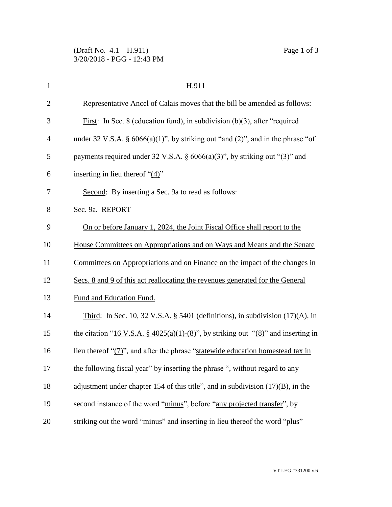| $\mathbf{1}$   | H.911                                                                                    |
|----------------|------------------------------------------------------------------------------------------|
| $\overline{2}$ | Representative Ancel of Calais moves that the bill be amended as follows:                |
| 3              | First: In Sec. 8 (education fund), in subdivision $(b)(3)$ , after "required"            |
| $\overline{4}$ | under 32 V.S.A. § $6066(a)(1)$ ", by striking out "and (2)", and in the phrase "of       |
| 5              | payments required under 32 V.S.A. $\S$ 6066(a)(3)", by striking out "(3)" and            |
| 6              | inserting in lieu thereof " $(4)$ "                                                      |
| 7              | Second: By inserting a Sec. 9a to read as follows:                                       |
| 8              | Sec. 9a. REPORT                                                                          |
| 9              | On or before January 1, 2024, the Joint Fiscal Office shall report to the                |
| 10             | House Committees on Appropriations and on Ways and Means and the Senate                  |
| 11             | Committees on Appropriations and on Finance on the impact of the changes in              |
| 12             | Secs. 8 and 9 of this act reallocating the revenues generated for the General            |
| 13             | Fund and Education Fund.                                                                 |
| 14             | Third: In Sec. 10, 32 V.S.A. § 5401 (definitions), in subdivision $(17)(A)$ , in         |
| 15             | the citation "16 V.S.A. § $4025(a)(1)-(8)$ ", by striking out " $(8)$ " and inserting in |
| 16             | lieu thereof " $(7)$ ", and after the phrase "statewide education homestead tax in       |
| 17             | the following fiscal year" by inserting the phrase ", without regard to any              |
| 18             | adjustment under chapter 154 of this title", and in subdivision $(17)(B)$ , in the       |
| 19             | second instance of the word "minus", before "any projected transfer", by                 |
| 20             | striking out the word "minus" and inserting in lieu thereof the word "plus"              |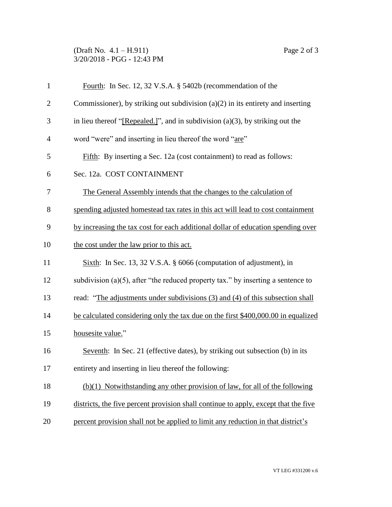## (Draft No. 4.1 – H.911) Page 2 of 3 3/20/2018 - PGG - 12:43 PM

| $\mathbf{1}$   | Fourth: In Sec. 12, 32 V.S.A. § 5402b (recommendation of the                         |
|----------------|--------------------------------------------------------------------------------------|
| $\overline{2}$ | Commissioner), by striking out subdivision $(a)(2)$ in its entirety and inserting    |
| 3              | in lieu thereof "[Repealed.]", and in subdivision $(a)(3)$ , by striking out the     |
| $\overline{4}$ | word "were" and inserting in lieu thereof the word "are"                             |
| 5              | Fifth: By inserting a Sec. 12a (cost containment) to read as follows:                |
| 6              | Sec. 12a. COST CONTAINMENT                                                           |
| 7              | The General Assembly intends that the changes to the calculation of                  |
| 8              | spending adjusted homestead tax rates in this act will lead to cost containment      |
| 9              | by increasing the tax cost for each additional dollar of education spending over     |
| 10             | the cost under the law prior to this act.                                            |
| 11             | Sixth: In Sec. 13, 32 V.S.A. $\S$ 6066 (computation of adjustment), in               |
| 12             | subdivision (a) $(5)$ , after "the reduced property tax." by inserting a sentence to |
| 13             | read: "The adjustments under subdivisions (3) and (4) of this subsection shall       |
| 14             | be calculated considering only the tax due on the first \$400,000.00 in equalized    |
| 15             | housesite value."                                                                    |
| 16             | Seventh: In Sec. 21 (effective dates), by striking out subsection (b) in its         |
| 17             | entirety and inserting in lieu thereof the following:                                |
| 18             | $(b)(1)$ Notwithstanding any other provision of law, for all of the following        |
| 19             | districts, the five percent provision shall continue to apply, except that the five  |
| 20             | percent provision shall not be applied to limit any reduction in that district's     |